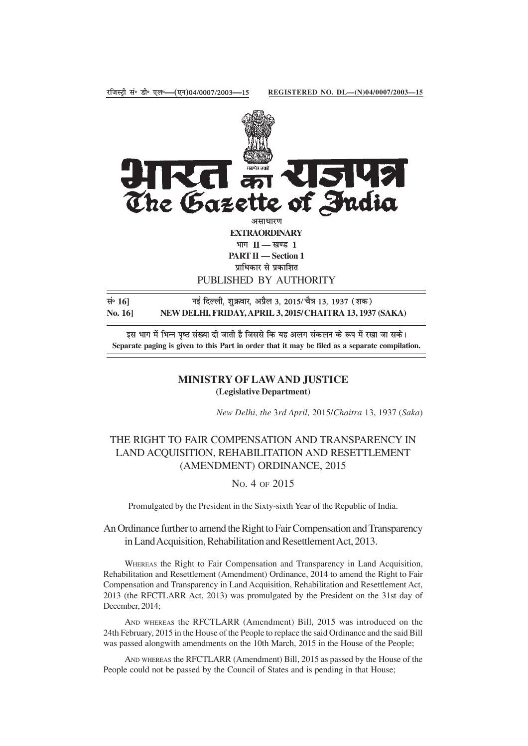

नई दिल्ली, शुक्रवार, अप्रैल 3, 2015/ चैत्र 13, 1937 (शक) NEW DELHI, FRIDAY, APRIL 3, 2015/CHAITRA 13, 1937 (SAKA) No. 16]

इस भाग में भिन्न पृष्ठ संख्या दी जाती है जिससे कि यह अलग संकलन के रूप में रखा जा सके। Separate paging is given to this Part in order that it may be filed as a separate compilation.

## **MINISTRY OF LAW AND JUSTICE** (Legislative Department)

New Delhi, the 3rd April, 2015/Chaitra 13, 1937 (Saka)

## THE RIGHT TO FAIR COMPENSATION AND TRANSPARENCY IN LAND ACQUISITION, REHABILITATION AND RESETTLEMENT (AMENDMENT) ORDINANCE, 2015

## No. 4 OF 2015

Promulgated by the President in the Sixty-sixth Year of the Republic of India.

An Ordinance further to amend the Right to Fair Compensation and Transparency in Land Acquisition, Rehabilitation and Resettlement Act, 2013.

WHEREAS the Right to Fair Compensation and Transparency in Land Acquisition, Rehabilitation and Resettlement (Amendment) Ordinance, 2014 to amend the Right to Fair Compensation and Transparency in Land Acquisition, Rehabilitation and Resettlement Act, 2013 (the RFCTLARR Act, 2013) was promulgated by the President on the 31st day of December, 2014;

AND WHEREAS the RFCTLARR (Amendment) Bill, 2015 was introduced on the 24th February, 2015 in the House of the People to replace the said Ordinance and the said Bill was passed alongwith amendments on the 10th March, 2015 in the House of the People;

AND WHEREAS the RFCTLARR (Amendment) Bill, 2015 as passed by the House of the People could not be passed by the Council of States and is pending in that House;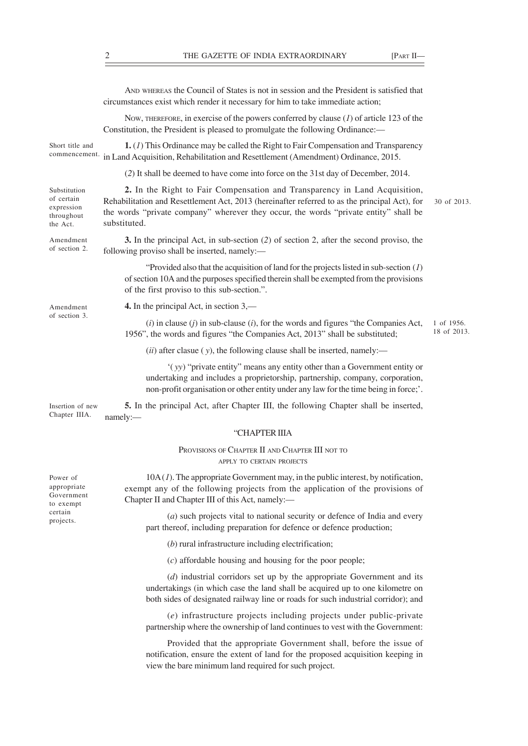AND WHEREAS the Council of States is not in session and the President is satisfied that circumstances exist which render it necessary for him to take immediate action;

NOW, THEREFORE, in exercise of the powers conferred by clause (*1*) of article 123 of the Constitution, the President is pleased to promulgate the following Ordinance:—

**1.** (*1*) This Ordinance may be called the Right to Fair Compensation and Transparency commencement. in Land Acquisition, Rehabilitation and Resettlement (Amendment) Ordinance, 2015. Short title and

(*2*) It shall be deemed to have come into force on the 31st day of December, 2014.

**2.** In the Right to Fair Compensation and Transparency in Land Acquisition, Rehabilitation and Resettlement Act, 2013 (hereinafter referred to as the principal Act), for the words "private company" wherever they occur, the words "private entity" shall be substituted. Substitution of certain expression throughout the Act.

**3.** In the principal Act, in sub-section (*2*) of section 2, after the second proviso, the following proviso shall be inserted, namely:— Amendment of section 2.

> "Provided also that the acquisition of land for the projects listed in sub-section (*1*) of section 10A and the purposes specified therein shall be exempted from the provisions of the first proviso to this sub-section.".

Amendment of section 3. **4.** In the principal Act, in section 3,—

(*i*) in clause (*j*) in sub-clause (*i*), for the words and figures "the Companies Act, 1956", the words and figures "the Companies Act, 2013" shall be substituted; 1 of 1956. 18 of 2013.

(*ii*) after clasue ( *y*), the following clause shall be inserted, namely:—

'( *yy*) "private entity" means any entity other than a Government entity or undertaking and includes a proprietorship, partnership, company, corporation, non-profit organisation or other entity under any law for the time being in force;'.

**5.** In the principal Act, after Chapter III, the following Chapter shall be inserted, namely:— Insertion of new Chapter IIIA.

## "CHAPTER IIIA

PROVISIONS OF CHAPTER II AND CHAPTER III NOT TO APPLY TO CERTAIN PROJECTS

10A (*1*). The appropriate Government may, in the public interest, by notification, exempt any of the following projects from the application of the provisions of Chapter II and Chapter III of this Act, namely:—

(*a*) such projects vital to national security or defence of India and every part thereof, including preparation for defence or defence production;

(*b*) rural infrastructure including electrification;

(*c*) affordable housing and housing for the poor people;

(*d*) industrial corridors set up by the appropriate Government and its undertakings (in which case the land shall be acquired up to one kilometre on both sides of designated railway line or roads for such industrial corridor); and

(*e*) infrastructure projects including projects under public-private partnership where the ownership of land continues to vest with the Government:

Provided that the appropriate Government shall, before the issue of notification, ensure the extent of land for the proposed acquisition keeping in view the bare minimum land required for such project.

Power of appropriate Government to exempt certain projects.

30 of 2013.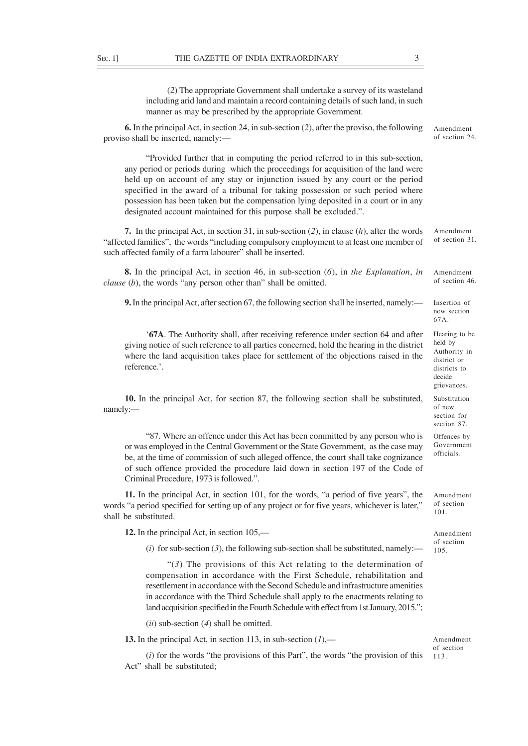(*2*) The appropriate Government shall undertake a survey of its wasteland including arid land and maintain a record containing details of such land, in such manner as may be prescribed by the appropriate Government.

| <b>6.</b> In the principal Act, in section 24, in sub-section (2), after the proviso, the following<br>proviso shall be inserted, namely:-                                                                                                                                                                                                                                                                                                                                                                | Amendment<br>of section 24.                                                                      |
|-----------------------------------------------------------------------------------------------------------------------------------------------------------------------------------------------------------------------------------------------------------------------------------------------------------------------------------------------------------------------------------------------------------------------------------------------------------------------------------------------------------|--------------------------------------------------------------------------------------------------|
| "Provided further that in computing the period referred to in this sub-section,<br>any period or periods during which the proceedings for acquisition of the land were<br>held up on account of any stay or injunction issued by any court or the period<br>specified in the award of a tribunal for taking possession or such period where<br>possession has been taken but the compensation lying deposited in a court or in any<br>designated account maintained for this purpose shall be excluded.". |                                                                                                  |
| 7. In the principal Act, in section 31, in sub-section $(2)$ , in clause $(h)$ , after the words<br>"affected families", the words "including compulsory employment to at least one member of<br>such affected family of a farm labourer" shall be inserted.                                                                                                                                                                                                                                              | Amendment<br>of section 31.                                                                      |
| <b>8.</b> In the principal Act, in section 46, in sub-section $(6)$ , in the Explanation, in<br><i>clause</i> $(b)$ , the words "any person other than" shall be omitted.                                                                                                                                                                                                                                                                                                                                 | Amendment<br>of section 46.                                                                      |
| <b>9.</b> In the principal Act, after section 67, the following section shall be inserted, namely:—                                                                                                                                                                                                                                                                                                                                                                                                       | Insertion of<br>new section<br>67A.                                                              |
| '67A. The Authority shall, after receiving reference under section 64 and after<br>giving notice of such reference to all parties concerned, hold the hearing in the district<br>where the land acquisition takes place for settlement of the objections raised in the<br>reference.'.                                                                                                                                                                                                                    | Hearing to be<br>held by<br>Authority in<br>district or<br>districts to<br>decide<br>grievances. |
| 10. In the principal Act, for section 87, the following section shall be substituted,<br>namely:-                                                                                                                                                                                                                                                                                                                                                                                                         | Substitution<br>of new<br>section for<br>section 87.                                             |
| "87. Where an offence under this Act has been committed by any person who is<br>or was employed in the Central Government or the State Government, as the case may<br>be, at the time of commission of such alleged offence, the court shall take cognizance<br>of such offence provided the procedure laid down in section 197 of the Code of<br>Criminal Procedure, 1973 is followed.".                                                                                                                 | Offences by<br>Government<br>officials.                                                          |
| 11. In the principal Act, in section 101, for the words, "a period of five years", the<br>words "a period specified for setting up of any project or for five years, whichever is later,"<br>shall be substituted.                                                                                                                                                                                                                                                                                        | Amendment<br>of section<br>101.                                                                  |
| 12. In the principal Act, in section $105$ ,—                                                                                                                                                                                                                                                                                                                                                                                                                                                             | Amendment<br>of section<br>105.                                                                  |
| (i) for sub-section (3), the following sub-section shall be substituted, namely:—                                                                                                                                                                                                                                                                                                                                                                                                                         |                                                                                                  |
| " $(3)$ The provisions of this Act relating to the determination of<br>compensation in accordance with the First Schedule, rehabilitation and<br>resettlement in accordance with the Second Schedule and infrastructure amenities<br>in accordance with the Third Schedule shall apply to the enactments relating to<br>land acquisition specified in the Fourth Schedule with effect from 1st January, 2015.";                                                                                           |                                                                                                  |

(*ii*) sub-section (*4*) shall be omitted.

**13.** In the principal Act, in section 113, in sub-section (*1*),—

(*i*) for the words "the provisions of this Part", the words "the provision of this Act" shall be substituted;

Amendment of section 113.